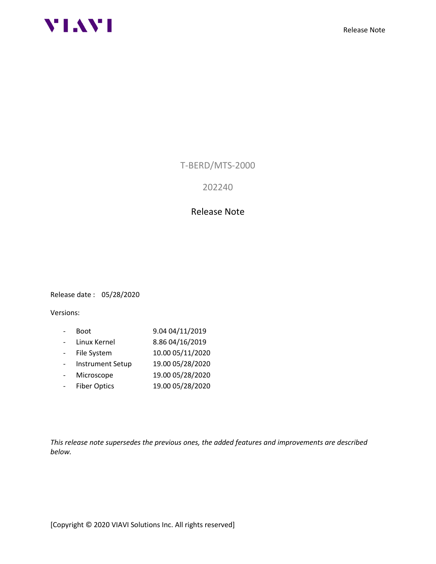



T-BERD/MTS-2000

202240

## Release Note

Release date : 05/28/2020

Versions:

- Boot 9.04 04/11/2019 - Linux Kernel 8.86 04/16/2019 - File System 10.00 05/11/2020 - Instrument Setup 19.00 05/28/2020 - Microscope 19.00 05/28/2020 - Fiber Optics 19.00 05/28/2020

*This release note supersedes the previous ones, the added features and improvements are described below.*